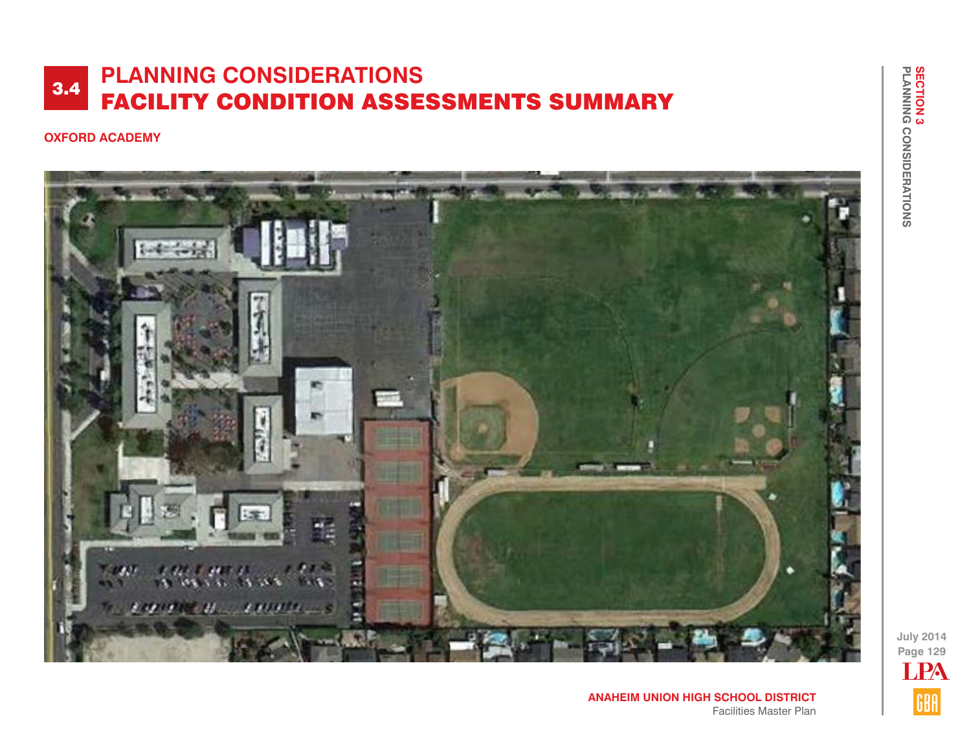#### **OXFORD ACADEMY**



**July 2014 Page 129** LPAGBA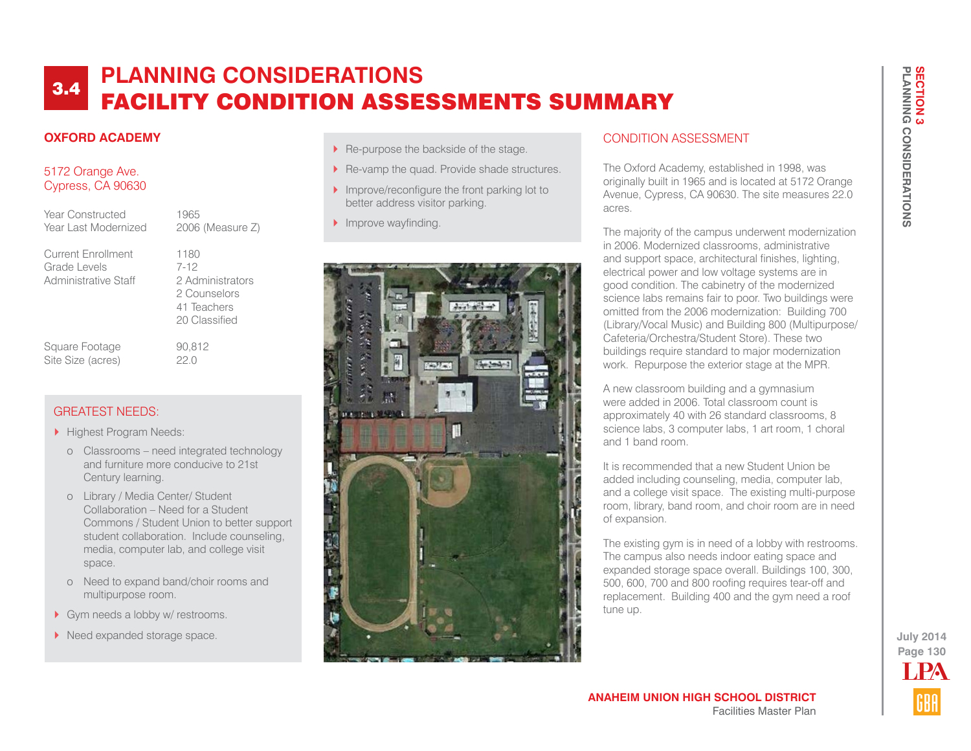## **OXFORD ACADEMY**

### 5172 Orange Ave. Cypress, CA 90630

Year Constructed 1965 Year Last Modernized 2006 (Measure Z)

Current Enrollment 1180 Grade Levels 7-12 Administrative Staff 2 Administrators

 2 Counselors 41 Teachers 20 Classified

Square Footage 90,812 Site Size (acres) 22.0

## GREATEST NEEDS:

- Highest Program Needs:
	- o Classrooms need integrated technology and furniture more conducive to 21st Century learning.
	- o Library / Media Center/ Student Collaboration – Need for a Student Commons / Student Union to better support student collaboration. Include counseling, media, computer lab, and college visit space.
	- o Need to expand band/choir rooms and multipurpose room.
- Gym needs a lobby w/ restrooms.
- $\blacktriangleright$  Need expanded storage space.
- Re-purpose the backside of the stage.
- Re-vamp the quad. Provide shade structures.
- Improve/reconfigure the front parking lot to better address visitor parking.
- Improve wayfinding.



### CONDITION ASSESSMENT

The Oxford Academy, established in 1998, was originally built in 1965 and is located at 5172 Orange Avenue, Cypress, CA 90630. The site measures 22.0 acres.

The majority of the campus underwent modernization in 2006. Modernized classrooms, administrative and support space, architectural finishes, lighting, electrical power and low voltage systems are in good condition. The cabinetry of the modernized science labs remains fair to poor. Two buildings were omitted from the 2006 modernization: Building 700 (Library/Vocal Music) and Building 800 (Multipurpose/ Cafeteria/Orchestra/Student Store). These two buildings require standard to major modernization work. Repurpose the exterior stage at the MPR.

A new classroom building and a gymnasium were added in 2006. Total classroom count is approximately 40 with 26 standard classrooms, 8 science labs, 3 computer labs, 1 art room, 1 choral and 1 band room.

It is recommended that a new Student Union be added including counseling, media, computer lab, and a college visit space. The existing multi-purpose room, library, band room, and choir room are in need of expansion.

The existing gym is in need of a lobby with restrooms. The campus also needs indoor eating space and expanded storage space overall. Buildings 100, 300, 500, 600, 700 and 800 roofing requires tear-off and replacement. Building 400 and the gym need a roof tune up.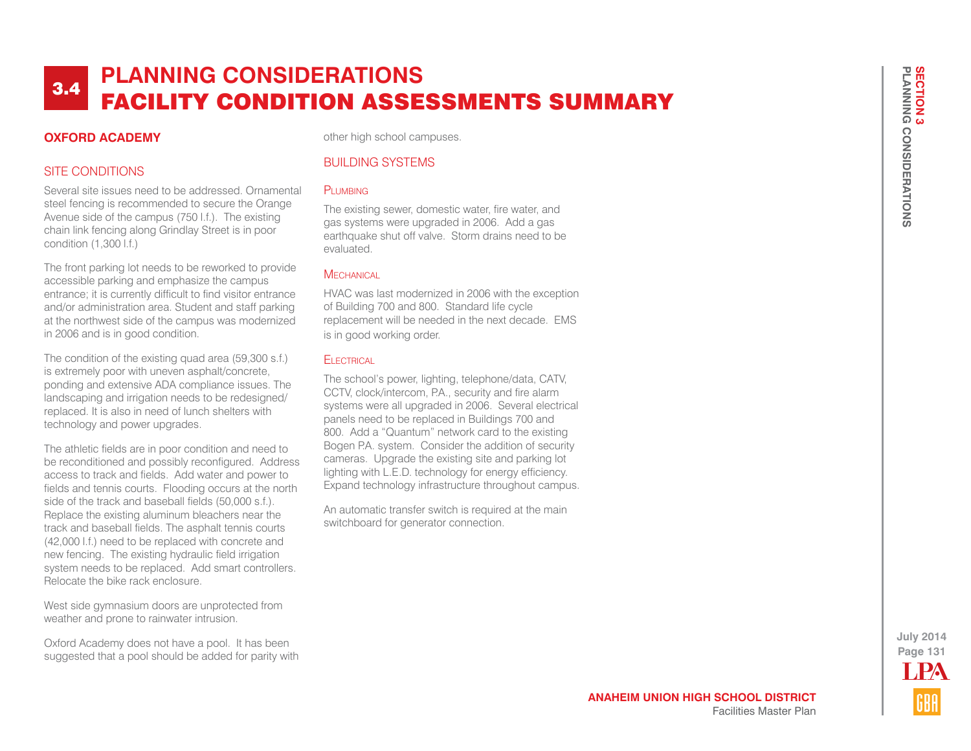#### **OXFORD ACADEMY**

other high school campuses.

### SITE CONDITIONS

Several site issues need to be addressed. Ornamental steel fencing is recommended to secure the Orange Avenue side of the campus (750 l.f.). The existing chain link fencing along Grindlay Street is in poor condition (1,300 l.f.)

The front parking lot needs to be reworked to provide accessible parking and emphasize the campus entrance; it is currently difficult to find visitor entrance and/or administration area. Student and staff parking at the northwest side of the campus was modernized in 2006 and is in good condition.

The condition of the existing quad area (59,300 s.f.) is extremely poor with uneven asphalt/concrete, ponding and extensive ADA compliance issues. The landscaping and irrigation needs to be redesigned/ replaced. It is also in need of lunch shelters with technology and power upgrades.

The athletic fields are in poor condition and need to be reconditioned and possibly reconfigured. Address access to track and fields. Add water and power to fields and tennis courts. Flooding occurs at the north side of the track and baseball fields (50,000 s.f.). Replace the existing aluminum bleachers near the track and baseball fields. The asphalt tennis courts (42,000 l.f.) need to be replaced with concrete and new fencing. The existing hydraulic field irrigation system needs to be replaced. Add smart controllers. Relocate the bike rack enclosure.

West side gymnasium doors are unprotected from weather and prone to rainwater intrusion.

Oxford Academy does not have a pool. It has been suggested that a pool should be added for parity with

### BUILDING SYSTEMS

#### PLUMBING

The existing sewer, domestic water, fire water, and gas systems were upgraded in 2006. Add a gas earthquake shut off valve. Storm drains need to be evaluated.

#### **MECHANICAL**

HVAC was last modernized in 2006 with the exception of Building 700 and 800. Standard life cycle replacement will be needed in the next decade. EMS is in good working order.

#### **ELECTRICAL**

The school's power, lighting, telephone/data, CATV, CCTV, clock/intercom, P.A., security and fire alarm systems were all upgraded in 2006. Several electrical panels need to be replaced in Buildings 700 and 800. Add a "Quantum" network card to the existing Bogen P.A. system. Consider the addition of security cameras. Upgrade the existing site and parking lot lighting with L.E.D. technology for energy efficiency. Expand technology infrastructure throughout campus.

An automatic transfer switch is required at the main switchboard for generator connection.

**Page 131 July 2014** LPA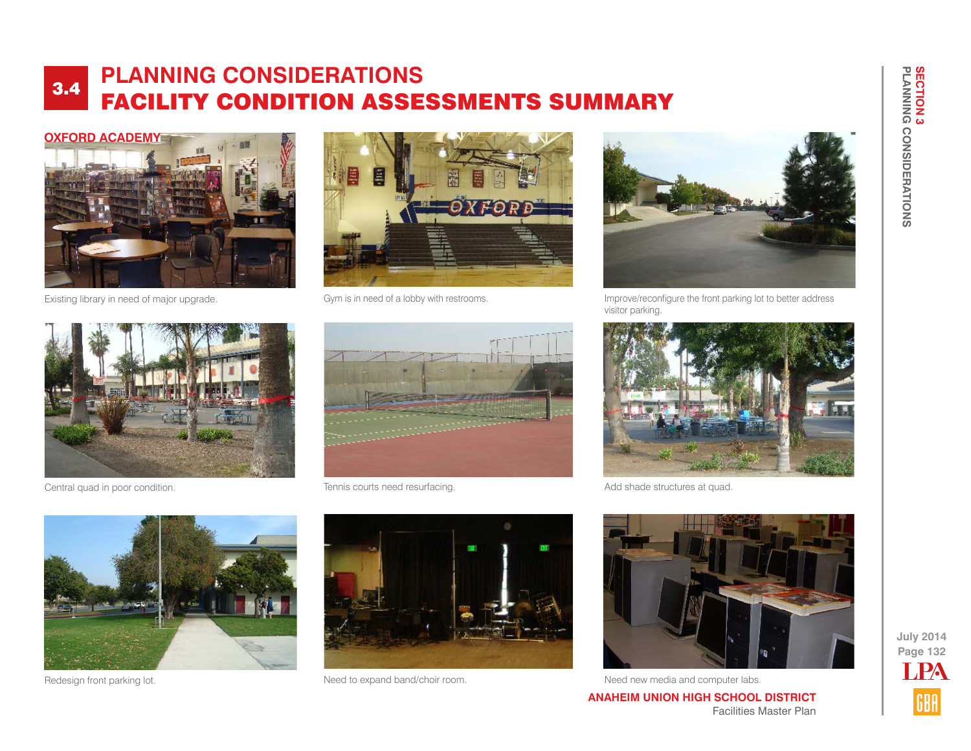

Existing library in need of major upgrade. Gym is in need of a lobby with restrooms.



Central quad in poor condition. Tennis courts need resurfacing.





Improve/reconfigure the front parking lot to better address visitor parking.





Add shade structures at quad.







Redesign front parking lot. Need to expand band/choir room. Need to expand band/choir room. Need new media and computer labs.

**ANAHEIM UNION HIGH SCHOOL DISTRICT** Facilities Master Plan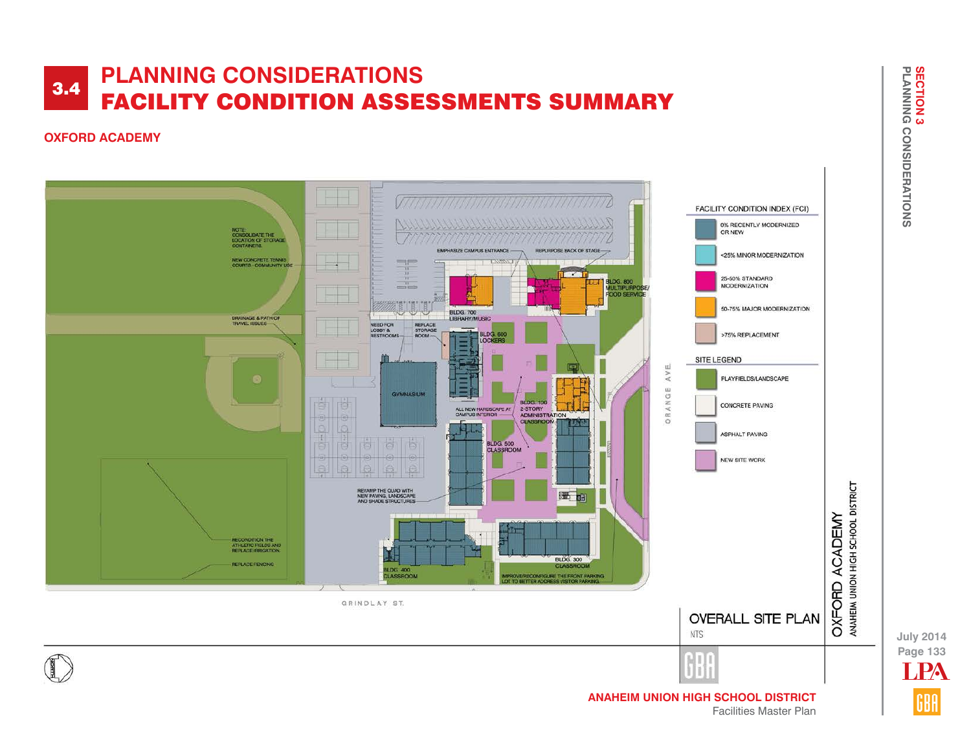#### **OXFORD ACADEMY**



**Page 133 July 2014** LPA